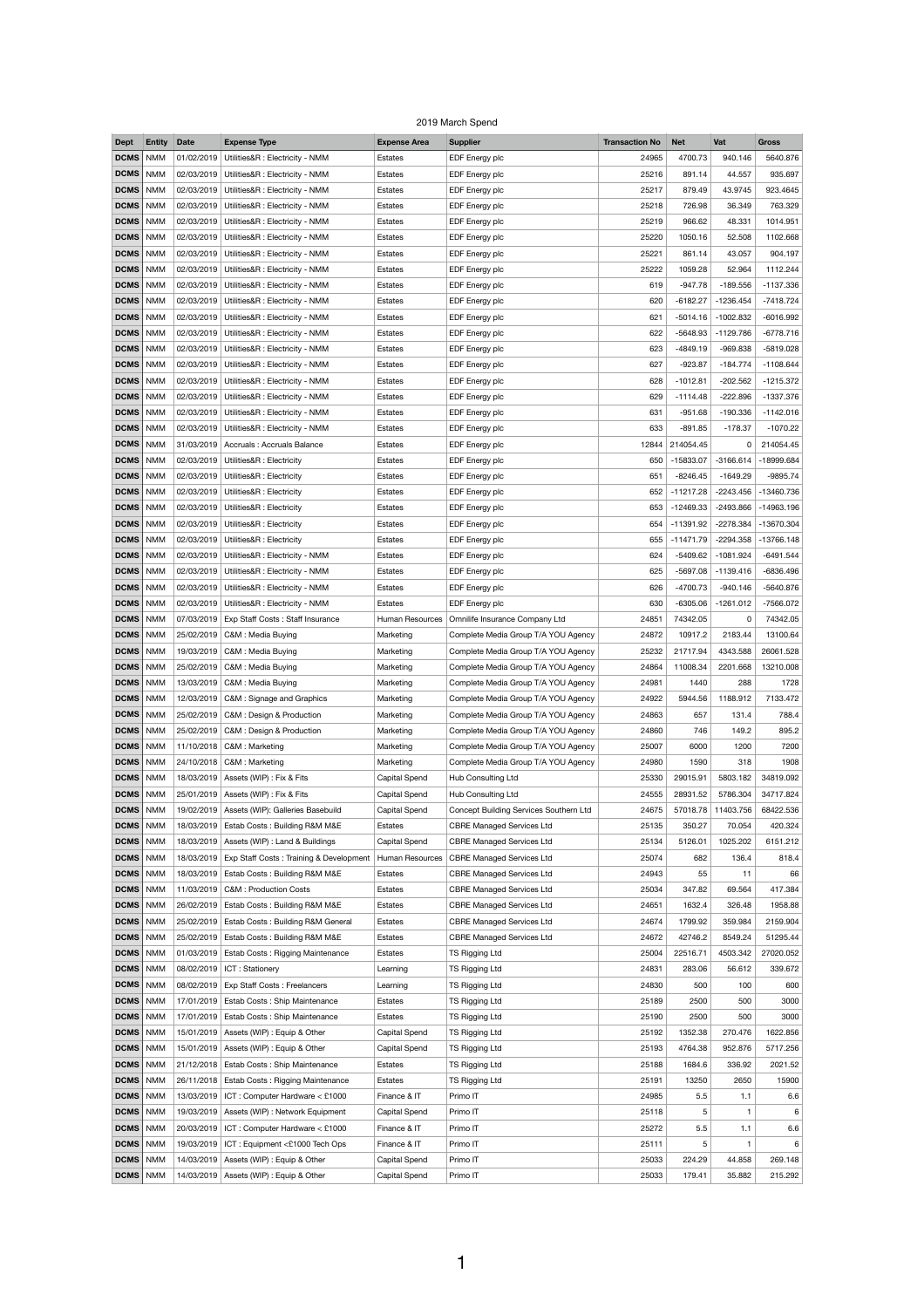## 2019 March Spend

| <b>Dept</b>       | <b>Entity</b> | <b>Date</b> | <b>Expense Type</b>                                                    | <b>Expense Area</b>    | <b>Supplier</b>                        | <b>Transaction No</b> | <b>Net</b>  | Vat         | <b>Gross</b> |
|-------------------|---------------|-------------|------------------------------------------------------------------------|------------------------|----------------------------------------|-----------------------|-------------|-------------|--------------|
| <b>DCMS</b>       | <b>NMM</b>    | 01/02/2019  | Utilities&R : Electricity - NMM                                        | Estates                | EDF Energy plc                         | 24965                 | 4700.73     | 940.146     | 5640.876     |
| <b>DCMS</b>   NMM |               |             | 02/03/2019   Utilities&R : Electricity - NMM                           | Estates                | EDF Energy plc                         | 25216                 | 891.14      | 44.557      | 935.697      |
| DCMS   NMM        |               | 02/03/2019  | Utilities&R : Electricity - NMM                                        | Estates                | EDF Energy plc                         | 25217                 | 879.49      | 43.9745     | 923.4645     |
| <b>DCMS</b>       | <b>NMM</b>    | 02/03/2019  | Utilities&R : Electricity - NMM                                        | Estates                | EDF Energy plc                         | 25218                 | 726.98      | 36.349      | 763.329      |
| <b>DCMS</b>   NMM |               |             | 02/03/2019   Utilities&R : Electricity - NMM                           | Estates                | EDF Energy plc                         | 25219                 | 966.62      | 48.331      | 1014.951     |
| <b>DCMS</b>   NMM |               |             | 02/03/2019   Utilities&R : Electricity - NMM                           | Estates                | EDF Energy plc                         | 25220                 | 1050.16     | 52.508      | 1102.668     |
| <b>DCMS</b>   NMM |               |             | 02/03/2019   Utilities&R : Electricity - NMM                           |                        |                                        |                       |             |             |              |
|                   |               |             |                                                                        | Estates                | EDF Energy plc                         | 25221                 | 861.14      | 43.057      | 904.197      |
| DCMS              | <b>NMM</b>    |             | 02/03/2019   Utilities&R : Electricity - NMM                           | Estates                | EDF Energy plc                         | 25222                 | 1059.28     | 52.964      | 1112.244     |
| <b>DCMS</b>   NMM |               |             | 02/03/2019   Utilities&R : Electricity - NMM                           | <b>Estates</b>         | EDF Energy plc                         | 619                   | $-947.78$   | $-189.556$  | $-1137.336$  |
| <b>DCMS</b>   NMM |               |             | 02/03/2019   Utilities&R : Electricity - NMM                           | Estates                | EDF Energy plc                         | 620                   | $-6182.27$  | -1236.454   | $-7418.724$  |
| DCMS              | <b>NMM</b>    | 02/03/2019  | Utilities&R : Electricity - NMM                                        | Estates                | EDF Energy plc                         | 621                   | $-5014.16$  | $-1002.832$ | $-6016.992$  |
| <b>DCMS</b>   NMM |               |             | 02/03/2019   Utilities&R : Electricity - NMM                           | Estates                | EDF Energy plc                         | 622                   | $-5648.93$  | $-1129.786$ | $-6778.716$  |
| <b>DCMS</b>   NMM |               |             | 02/03/2019   Utilities&R : Electricity - NMM                           | Estates                | EDF Energy plc                         | 623                   | $-4849.19$  | $-969.838$  | $-5819.028$  |
| DCMS              | <b>NMM</b>    | 02/03/2019  | Utilities&R : Electricity - NMM                                        | Estates                | EDF Energy plc                         | 627                   | $-923.87$   | $-184.774$  | $-1108.644$  |
| <b>DCMS</b>   NMM |               |             | 02/03/2019   Utilities&R : Electricity - NMM                           | <b>Estates</b>         | EDF Energy plc                         | 628                   | $-1012.81$  | $-202.562$  | $-1215.372$  |
| <b>DCMS</b>   NMM |               |             | 02/03/2019   Utilities&R : Electricity - NMM                           | Estates                | EDF Energy plc                         | 629                   | $-1114.48$  | $-222.896$  | $-1337.376$  |
| DCMS              | <b>NMM</b>    | 02/03/2019  | Utilities&R : Electricity - NMM                                        | Estates                | EDF Energy plc                         | 631                   | $-951.68$   | $-190.336$  | $-1142.016$  |
| <b>DCMS</b>   NMM |               | 02/03/2019  | Utilities&R : Electricity - NMM                                        | <b>Estates</b>         | EDF Energy plc                         | 633                   | $-891.85$   | $-178.37$   | $-1070.22$   |
| DCMS   NMM        |               |             | 31/03/2019 Accruals: Accruals Balance                                  | Estates                | EDF Energy plc                         | 12844                 | 214054.45   | 0           | 214054.45    |
| DCMS              | <b>NMM</b>    | 02/03/2019  | Utilities&R : Electricity                                              | Estates                | EDF Energy plc                         | 650                   | $-15833.07$ | $-3166.614$ | -18999.684   |
| <b>DCMS</b>   NMM |               |             | 02/03/2019   Utilities&R : Electricity                                 | Estates                | EDF Energy plc                         | 651                   | $-8246.45$  | $-1649.29$  | $-9895.74$   |
| DCMS   NMM        |               |             | 02/03/2019   Utilities&R : Electricity                                 | Estates                | EDF Energy plc                         | 652                   | $-11217.28$ | $-2243.456$ | -13460.736   |
|                   |               |             |                                                                        |                        |                                        |                       |             |             |              |
| <b>DCMS</b>   NMM |               |             | 02/03/2019   Utilities&R : Electricity                                 | Estates                | EDF Energy plc                         | 653                   | $-12469.33$ | $-2493.866$ | $-14963.196$ |
| DCMS              | <b>NMM</b>    | 02/03/2019  | Utilities&R : Electricity                                              | Estates                | EDF Energy plc                         | 654                   | $-11391.92$ | $-2278.384$ | -13670.304   |
| <b>DCMS</b>   NMM |               |             | 02/03/2019   Utilities&R : Electricity                                 | Estates                | EDF Energy plc                         | 655                   | $-11471.79$ | $-2294.358$ | -13766.148   |
| <b>DCMS</b> NMM   |               | 02/03/2019  | Utilities&R : Electricity - NMM                                        | Estates                | EDF Energy plc                         | 624                   | $-5409.62$  | $-1081.924$ | $-6491.544$  |
| DCMS              | <b>NMM</b>    | 02/03/2019  | Utilities&R : Electricity - NMM                                        | Estates                | EDF Energy plc                         | 625                   | $-5697.08$  | $-1139.416$ | -6836.496    |
| <b>DCMS</b> NMM   |               | 02/03/2019  | Utilities&R : Electricity - NMM                                        | <b>Estates</b>         | EDF Energy plc                         | 626                   | $-4700.73$  | $-940.146$  | -5640.876    |
| <b>DCMS</b>   NMM |               | 02/03/2019  | Utilities&R : Electricity - NMM                                        | Estates                | EDF Energy plc                         | 630                   | $-6305.06$  | $-1261.012$ | -7566.072    |
| DCMS              | <b>NMM</b>    | 07/03/2019  | <b>Exp Staff Costs: Staff Insurance</b>                                | <b>Human Resources</b> | Omnilife Insurance Company Ltd         | 24851                 | 74342.05    | 0           | 74342.05     |
| <b>DCMS</b>   NMM |               | 25/02/2019  | C&M : Media Buying                                                     | Marketing              | Complete Media Group T/A YOU Agency    | 24872                 | 10917.2     | 2183.44     | 13100.64     |
| <b>DCMS</b>   NMM |               | 19/03/2019  | C&M: Media Buying                                                      | Marketing              | Complete Media Group T/A YOU Agency    | 25232                 | 21717.94    | 4343.588    | 26061.528    |
| DCMS              | <b>NMM</b>    | 25/02/2019  | C&M: Media Buying                                                      | Marketing              | Complete Media Group T/A YOU Agency    | 24864                 | 11008.34    | 2201.668    | 13210.008    |
| DCMS              | <b>NMM</b>    | 13/03/2019  | C&M : Media Buying                                                     | Marketing              | Complete Media Group T/A YOU Agency    | 24981                 | 1440        | 288         | 1728         |
| <b>DCMS</b>   NMM |               | 12/03/2019  | C&M: Signage and Graphics                                              | Marketing              | Complete Media Group T/A YOU Agency    | 24922                 | 5944.56     | 1188.912    | 7133.472     |
| DCMS   NMM        |               | 25/02/2019  | C&M : Design & Production                                              | Marketing              | Complete Media Group T/A YOU Agency    | 24863                 | 657         | 131.4       | 788.4        |
| DCMS              | <b>NMM</b>    | 25/02/2019  | C&M : Design & Production                                              | Marketing              | Complete Media Group T/A YOU Agency    | 24860                 | 746         | 149.2       | 895.2        |
| <b>DCMS</b>   NMM |               | 11/10/2018  | C&M: Marketing                                                         | Marketing              | Complete Media Group T/A YOU Agency    | 25007                 | 6000        | 1200        | 7200         |
| <b>DCMS</b> NMM   |               | 24/10/2018  | C&M: Marketing                                                         | Marketing              | Complete Media Group T/A YOU Agency    | 24980                 | 1590        | 318         | 1908         |
| DCMS              | <b>NMM</b>    | 18/03/2019  | Assets (WIP) : Fix & Fits                                              | Capital Spend          | Hub Consulting Ltd                     | 25330                 | 29015.91    | 5803.182    | 34819.092    |
| DCMS   NMM        |               | 25/01/2019  | Assets (WIP) : Fix & Fits                                              | <b>Capital Spend</b>   | Hub Consulting Ltd                     | 24555                 | 28931.52    | 5786.304    | 34717.824    |
| DCMS   NMM        |               | 19/02/2019  | Assets (WIP): Galleries Basebuild                                      | Capital Spend          | Concept Building Services Southern Ltd | 24675                 | 57018.78    | 11403.756   | 68422.536    |
|                   |               |             |                                                                        |                        |                                        |                       |             |             |              |
| DCMS              | <b>NMM</b>    | 18/03/2019  | Estab Costs: Building R&M M&E                                          | Estates                | <b>CBRE Managed Services Ltd</b>       | 25135                 | 350.27      | 70.054      | 420.324      |
| <b>DCMS</b>   NMM |               |             | 18/03/2019   Assets (WIP) : Land & Buildings                           | <b>Capital Spend</b>   | <b>CBRE Managed Services Ltd</b>       | 25134                 | 5126.01     | 1025.202    | 6151.212     |
| <b>DCMS</b>   NMM |               |             | 18/03/2019   Exp Staff Costs: Training & Development   Human Resources |                        | <b>CBRE Managed Services Ltd</b>       | 25074                 | 682         | 136.4       | 818.4        |
| DCMS              | <b>NMM</b>    | 18/03/2019  | <b>Estab Costs: Building R&amp;M M&amp;E</b>                           | <b>Estates</b>         | <b>CBRE Managed Services Ltd</b>       | 24943                 | 55          | 11          | 66           |
| DCMS              | <b>NMM</b>    | 11/03/2019  | <b>C&amp;M: Production Costs</b>                                       | Estates                | <b>CBRE Managed Services Ltd</b>       | 25034                 | 347.82      | 69.564      | 417.384      |
| DCMS   NMM        |               | 26/02/2019  | <b>Estab Costs: Building R&amp;M M&amp;E</b>                           | Estates                | <b>CBRE Managed Services Ltd</b>       | 24651                 | 1632.4      | 326.48      | 1958.88      |
| DCMS              | <b>NMM</b>    | 25/02/2019  | Estab Costs: Building R&M General                                      | <b>Estates</b>         | <b>CBRE Managed Services Ltd</b>       | 24674                 | 1799.92     | 359.984     | 2159.904     |
| DCMS              | <b>NMM</b>    | 25/02/2019  | Estab Costs: Building R&M M&E                                          | Estates                | <b>CBRE Managed Services Ltd</b>       | 24672                 | 42746.2     | 8549.24     | 51295.44     |
| <b>DCMS</b>   NMM |               |             | 01/03/2019   Estab Costs: Rigging Maintenance                          | Estates                | TS Rigging Ltd                         | 25004                 | 22516.71    | 4503.342    | 27020.052    |
| DCMS              | <b>NMM</b>    | 08/02/2019  | ICT: Stationery                                                        | Learning               | TS Rigging Ltd                         | 24831                 | 283.06      | 56.612      | 339.672      |
| DCMS              | <b>NMM</b>    | 08/02/2019  | <b>Exp Staff Costs: Freelancers</b>                                    | Learning               | <b>TS Rigging Ltd</b>                  | 24830                 | 500         | 100         | 600          |
| <b>DCMS</b>   NMM |               |             | 17/01/2019 Estab Costs: Ship Maintenance                               | Estates                | TS Rigging Ltd                         | 25189                 | 2500        | 500         | 3000         |
| <b>DCMS</b>   NMM |               | 17/01/2019  | Estab Costs: Ship Maintenance                                          | Estates                | TS Rigging Ltd                         | 25190                 | 2500        | 500         | 3000         |
| DCMS              | <b>NMM</b>    | 15/01/2019  | Assets (WIP) : Equip & Other                                           | Capital Spend          | TS Rigging Ltd                         | 25192                 | 1352.38     | 270.476     | 1622.856     |
| DCMS   NMM        |               | 15/01/2019  | Assets (WIP) : Equip & Other                                           | Capital Spend          | TS Rigging Ltd                         | 25193                 | 4764.38     | 952.876     | 5717.256     |
| <b>DCMS</b>   NMM |               | 21/12/2018  | Estab Costs: Ship Maintenance                                          | Estates                | TS Rigging Ltd                         | 25188                 | 1684.6      | 336.92      | 2021.52      |
| DCMS              | <b>NMM</b>    |             | 26/11/2018   Estab Costs: Rigging Maintenance                          | Estates                | <b>TS Rigging Ltd</b>                  | 25191                 | 13250       | 2650        | 15900        |
| <b>DCMS</b>   NMM |               | 13/03/2019  | ICT: Computer Hardware < £1000                                         | Finance & IT           | Primo IT                               | 24985                 | 5.5         | 1.1         | 6.6          |
| <b>DCMS</b>   NMM |               | 19/03/2019  | Assets (WIP) : Network Equipment                                       | <b>Capital Spend</b>   | Primo IT                               | 25118                 | 5           | 1           | 6            |
| DCMS              | <b>NMM</b>    | 20/03/2019  | ICT: Computer Hardware < £1000                                         | Finance & IT           | Primo IT                               | 25272                 | 5.5         | 1.1         | 6.6          |
|                   |               |             |                                                                        |                        |                                        |                       |             |             |              |
| DCMS              | <b>NMM</b>    | 19/03/2019  | ICT: Equipment <£1000 Tech Ops                                         | Finance & IT           | Primo IT                               | 25111                 | 5           | 1           | 6            |
| <b>DCMS</b> NMM   |               | 14/03/2019  | Assets (WIP) : Equip & Other                                           | <b>Capital Spend</b>   | Primo IT                               | 25033                 | 224.29      | 44.858      | 269.148      |
| DCMS   NMM        |               |             | 14/03/2019   Assets (WIP) : Equip & Other                              | Capital Spend          | Primo IT                               | 25033                 | 179.41      | 35.882      | 215.292      |